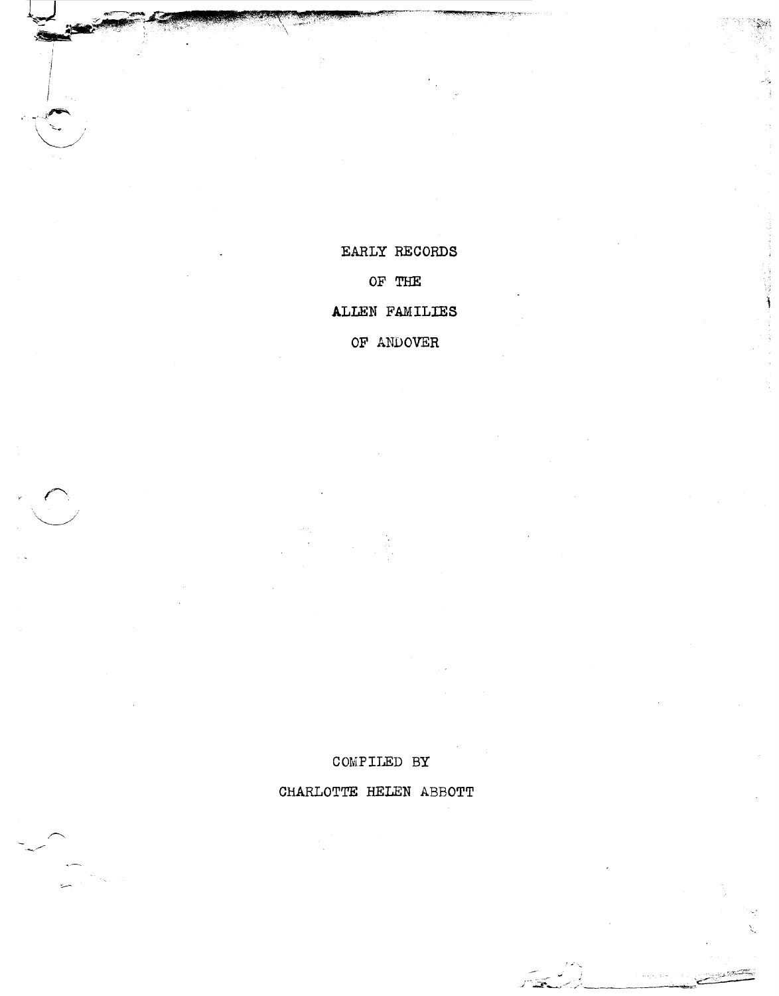CHARLOTTE HELEN ABBOTT

COMPILED BY

EARLY RECORDS

OF THE

ALLEN FAMILIES

OF ANDOVER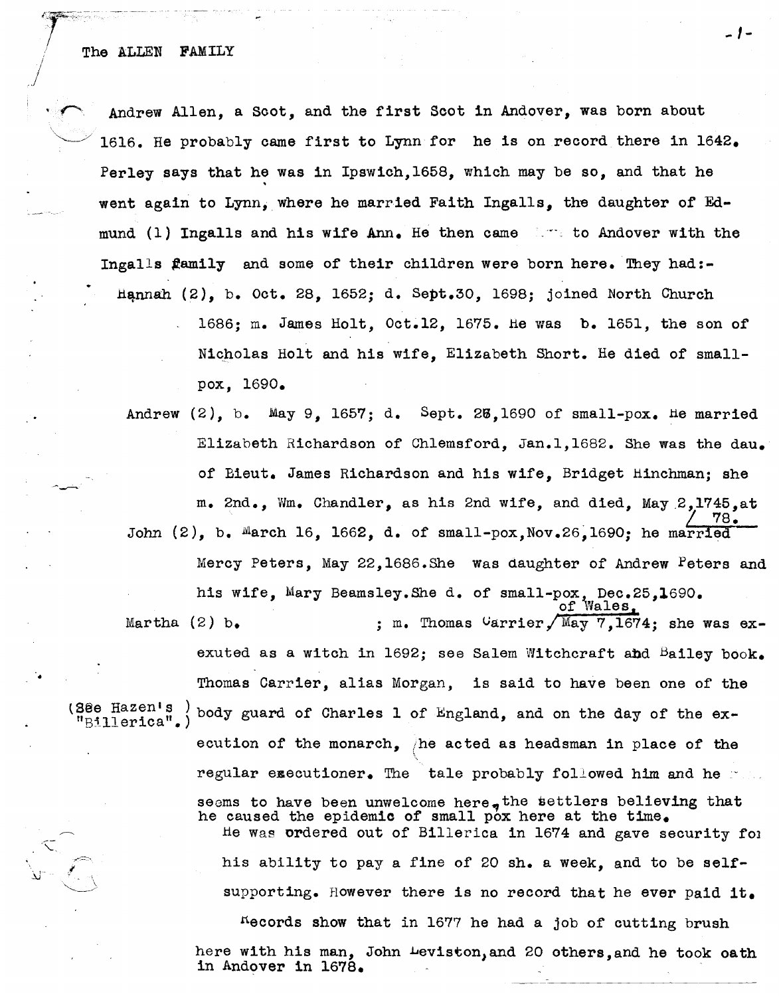Andrew Allen, a Scot, and the first Scot in Andover, was born about 1616. He probably came first to Lynn for he is on record there in  $1642.$ Perley says that he was in Ipswich,  $1658$ , which may be so, and that he went again to Lynn, where he married Faith Ingalls, the daughter of Edmund (1) Ingalls and his wife  $Ann<sub>e</sub>$  He then came is to Andover with the Ingalls family and some of their children were born here. They had:-Hannah  $(2)$ , b. Oct. 28, 1652; d. Sept.30, 1698; joined North Church

> 1686; m. James Holt, Oct.12, 1675. He was b. 1651, the son of Nicholas Holt and his wife, Elizabeth Short. He died of smallpox, 1690.

*... 1-*

Andrew  $(2)$ , b. May 9, 1657; d. Sept. 23,1690 of small-pox. He married Elizabeth Richardson of Chlemsford, Jan.l,1682. She was the dau. of Bieut. James Richardson and his wife, Bridget Hinchman; she m. 2nd., Wm. Chandler, as his 2nd wife, and died, May.2,1745,at  $\frac{7}{6}$ John  $(2)$ , b. March 16, 1662, d. of small-pox, Nov. 26, 1690; he married Mercy Peters, May 22,1686.She Was daughter of Andrew Peters and his wife, Mary Beamsley.She d. of small-pox, Dec.25,1690.<br>of Wales, Martha (2) b.  $\mu$ , m. Thomas Carrier/May 7,1674; she was exexuted as a witch in 1692; see Salem Witchcraft and Bailey book.

•

Thomas Carrier, alias Morgan, is said to have been one of the (38e Hazen's ) body guard of Charles 1 of England, and on the day of the ex-<br>"Billerica".) ecution of the monarch, /he acted as headsman in place of the regular executioner. The tale probably followed him and heseems to have been unwelcome here, the settlers believing that he caused the epidemic of small pox here at the time. He Was ordered out of Billerica in 1674 and gave security fOl his ability to pay a fine of 20 sh. a week, and to be selfsupporting. However there is no record that he ever paid it.  $^{16}$  acords show that in 1677 he had a job of cutting brush here with his man, John Levlston,and 20 others,and he took oath in Andover in 1678.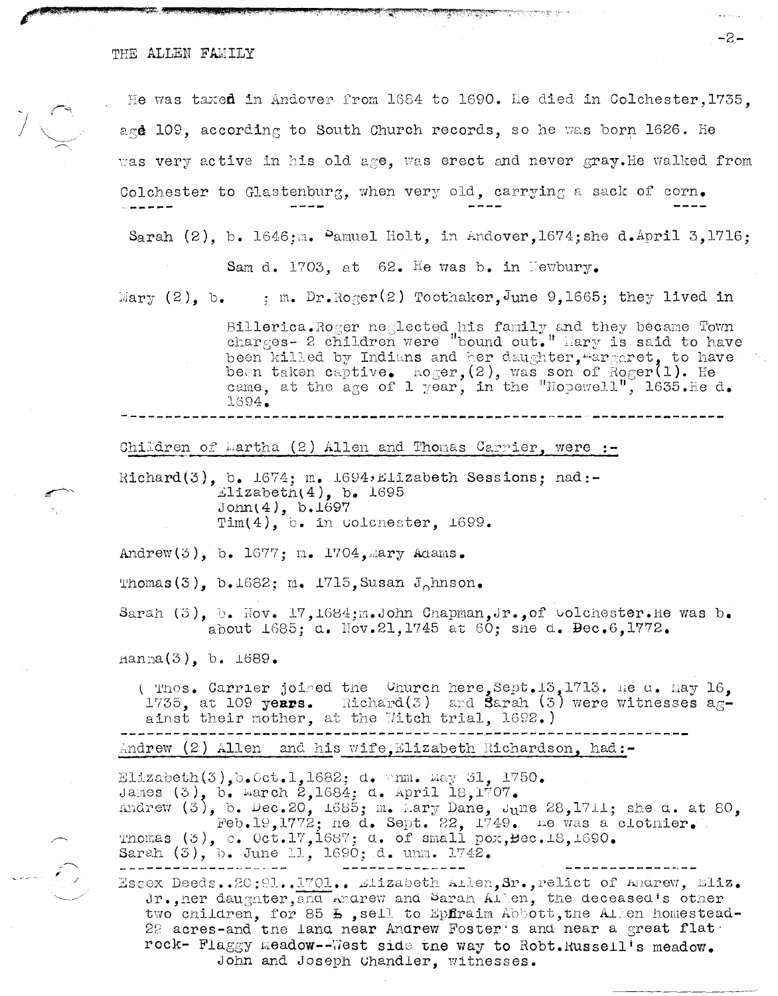THE ALLEN FAMILY

He was taxed in Andover from 1684 to 1690. He died in Colchester, 1735. age 109, according to South Church records, so he was born 1626. He was very active in his old age. was erect and never gray. He walked from Colchester to Glastenburg, when very old, carrying a sack of corn.

्युस

ستعد المستعدد المستعدد

Sarah  $(2)$ , b. 1646:m. Pamuel Holt, in Andover, 1674; she d.April 3, 1716:

Sam d. 1703. at 62. He was b. in Newbury.

Mary (2), b. : m. Dr.Roger(2) Toothaker, June 9,1665; they lived in

Billerica. Roger neglected his family and they became Town charges- 2 children were "bound out." Mary is said to have been killed by Indians and her daughter, margaret, to have been taken captive. Roger, (2), was son of Roger(1). He came, at the age of 1 year, in the "Hopewell", 1635. He d. 1694.

Children of Martha (2) Allen and Thomas Carrier, were :-

Richard(3), b.  $1674$ ; m.  $1694$ , Elizabeth Sessions; had:-Elizabeth $(4)$ , b. 1695  $John(4), b.1697$ Tim(4), b. in colonester,  $1699.$ 

Andrew(3), b. 1677; m. 1704, mary Adams.

Thomas  $(3)$ , b.1682; m. 1715, Susan J<sub>o</sub>hnson.

Sarah  $(3)$ , b. Nov. 17, 1684; m. John Chapman, Jr., of volchester. He was b. about 1685; d. Nov.21,1745 at 60; she d. Dec.6,1772.

 $\text{nama}(3)$ , b. 1689.

 $\mathcal{E}_{\mathcal{P}}$ 

( Thos. Carrier joined the Church here, Sept. 13, 1713. He a. May 16, 1735, at 109 years. Richard(3) and Sarah (3) were witnesses  $a_{\mathcal{R}}$ ainst their mother, at the Witch trial, 1692.)

Andrew (2) Allen and his wife.Elizabeth Richardson. had:-

Elizabeth $(3)$ , b. Cct. 1, 1682; d. anm. May 31, 1750. James (3), b. March 2,1684; d. April 18,1707. Andrew  $(3)$ , b. Dec.20, 1685; m. hary Dane, June 28,1711; she d. at 80, Feb.19, 1772; ne d. Sept. 22, 1749. ne was a clotnier. Thomas  $(3)$ , b. Oct.17,1687; d. of small pox, Bec.18,1690. Sarah (3), b. June 11, 1690; d. unm. 1742. Rssex Deeds..20:91..1701.. Elizabeth Allen, Sr., relict of Andrew, Eliz. Jr., her daugnter, and Andrew and Sarah Allen, the deceased's other two children, for 85 h, sell to Epfraim Abbott, the Allen homestead-22 acres-and the land near Andrew Foster's and near a great flat. rock- Flaggy meadow--West side the way to Robt. Russell's meadow.

John and Joseph Chandler, witnesses.

 $-2-$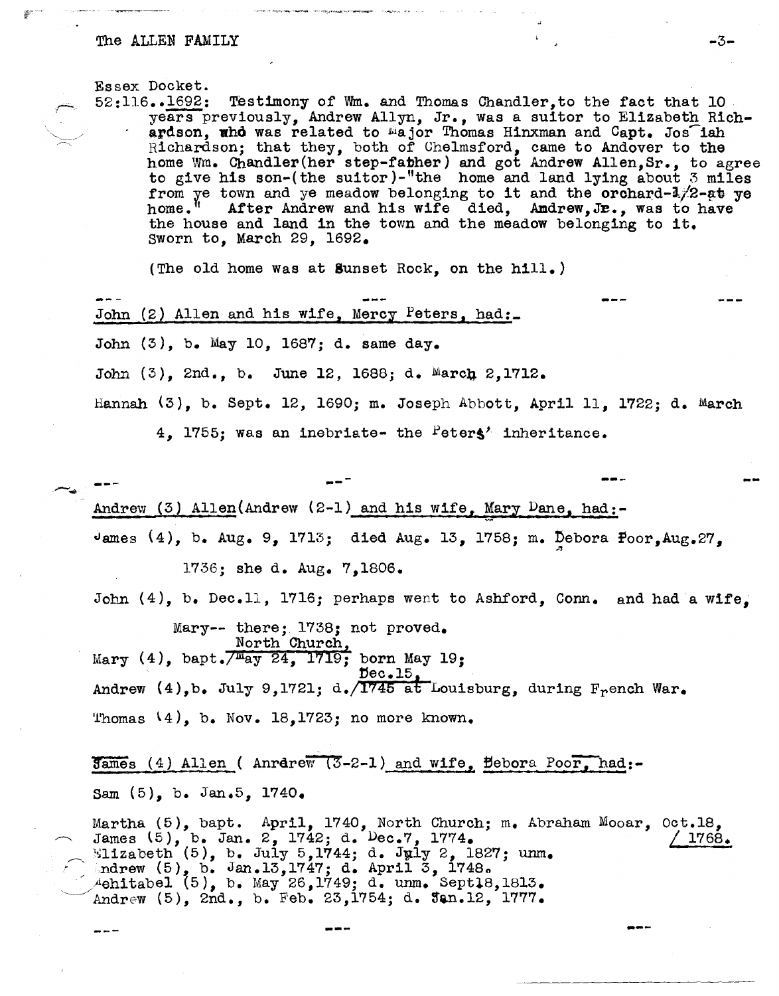## The ALLEN FAMILY  $-3-$

**Essex Docket.**<br>52:116..1692:

Testimony of Wm. and Thomas Chandler, to the fact that 10 years previously, Andrew Allyn, Jr., was a suitor to Elizabeth Richardson, who was related to major Thomas Hinxman and Capt. Jos iah Richardson; that they, both of Chelmsford, came to Andover to the home Wm. Ohand1er(her step-fabher) and got Andrew Allen,Sr., to agree to give his son-(the suitor)-"the home and land lying about 3 miles from ye town and ye meadow belonging to it and the orchard- $1/2$ -at ye home." After Andrew and his wife died. Andrew.Je.. was to have After Andrew and his wife died, Amdrew, Je., was to have the house and land in the town and the meadow belonging to it. Sworn to, March 29, 1692.

.'

(The old home Was at Sunset Rock, on the hill.)

John (2) Allen and his wife, Mercy Peters, had: John  $(3)$ , b. May 10, 1687; d. same day. John (3), 2nd., b. June 12, 1688; d. March 2,1712. Hannah (3), b. Sept. 12, 1690; m. Joseph Abbott, April 11, 1722; d. March

4, 1755; was an inebriate- the  $Peters'$  inheritance.

Andrew (3) Allen(Andrew (2-1) and his wife, Mary Dane, had:-James  $(4)$ , b. Aug. 9, 1713; died Aug. 13, 1758; m. Debora Poor, Aug. 27.

1736; she d. Aug. 7,1806.

John (4), b. Dec.11, 1716; perhaps went to Ashford, Conn. and had a wife.

Mary-- there;. 1738; not proved. North Church, Mary  $(4)$ , bapt. $\sqrt{M_{ay} 24}$ , 1719; born May 19;  $\mathfrak{p}$ ec.15 Andrew  $(4)$ , b. July 9,1721; d./1745 at Louisburg, during F<sub>r</sub>ench War. Thomas  $(4)$ , b. Nov. 18,1723; no more known.

 $5a$ mes (4) Allen ( Anrerew (3-2-1) and wife,  $\beta$ ebora Poor, had:-Sam (5), b. Jan.5, 1740.

---

Martha  $(5)$ , bapt. April, 1740, North Church; m. Abraham  $\sim$  James  $(5)$ , b. Jan. 2, 1742; d.  $Dec.7$ , 1774. Wiizabeth (5), b. July 5,1744; d. July 2, 1827; unm.  $\bigcap$  indrew  $(5)$ , b. Jan.13,1747; d. April 3, 1748.  $\overline{A}$ ehitabel (5), b. May 26,1749; d. unm. Sept18,1813. Andrew  $(5)$ , 2nd., b. Feb. 23,1754; d.  $\tan.12$ , 1777. Mooar, Oct.18, *L 1768,\_* 

--

---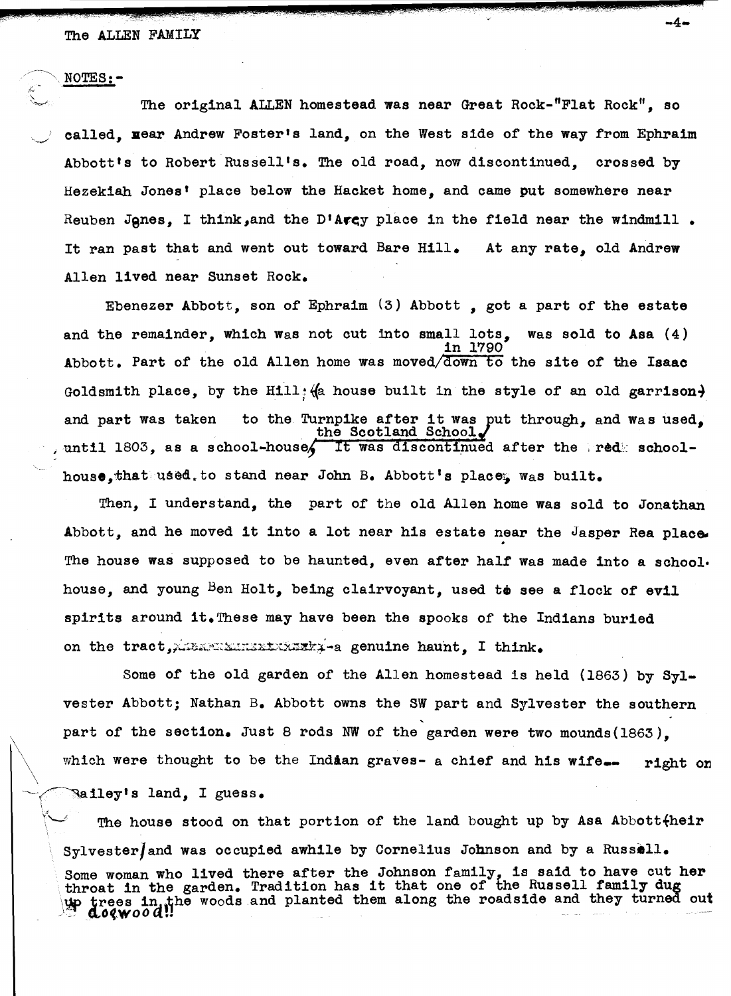## The ALLEN FAMILY

NOTES:-

bS.L" '. 2L,

"

The original ALLEN homestead was near Great Rock-"Flat Rock", so called, **Hear Andrew Foster's land, on the West side of the way from Ephraim** Abbott's to Robert Russell's. The old road, now discontinued, crossed by Hezekiah Jones' place below the Hacket home, and came put somewhere near Reuben Jones. I think, and the D'Avey place in the field near the windmill. It ran past that and went out toward Bare Hill. Allen lived near Sunset Rock. At any rate, old Andrew

 $-4-$ 

Ebenezer Abbott, son of Ephraim  $(3)$  Abbott, got a part of the estate and the remainder, which WaS not cut into small lots, was sold to Asa (4) in 1790 Abbott. Part of the old Allen home was moved/down to the site of the Isaac Goldsmith place, by the Hill: (a house built in the style of an old garrison) and part was taken to the Turnpike after it was put through, and was used, the Scotland School. , until 1803, as a school-house. It was discontinued after the red: schoolhouse.that used to stand near John B. Abbott's place, was built.

Then, I understand, the part of the old Allen home was sold to Jonathan Abbott, and he moved it into a lot near his estate near the Jasper Rea place. The house was supposed to be haunted, even after half was made into a school. house, and young  $\beta$ en Holt, being clairvoyant, used to see a flock of evil spirits around it. These may have been the spooks of the Indians buried on the tract, ATEXNEMINISK REAR genuine haunt. I think.

Some of the old garden of the Allen homestead is held (1863) by  $Syl$ vester Abbott; Nathan B. Abbott owns the SW part and Sylvester the southern part of the section. Just 8 rods NW of the garden were two mounds(1863). which were thought to be the Indian graves- a chief and his wife. right on  $\mathbb{R}$ ailey's land. I guess.

The house stood on that portion of the land bought up by Asa Abbott $\{$ heir SYlvesterJand was occupied awhile by Cornelius Johnson and by a Russell. Some woman who lived there after the Johnson family, is said to have cut her Some woman who lived there arter the Johnson lamily, is said to have cut him  $\ln$  trees in the garden. That side has no show the sense in the reads  $\ln$  turned out  $\mathcal{L}$  doewood!!"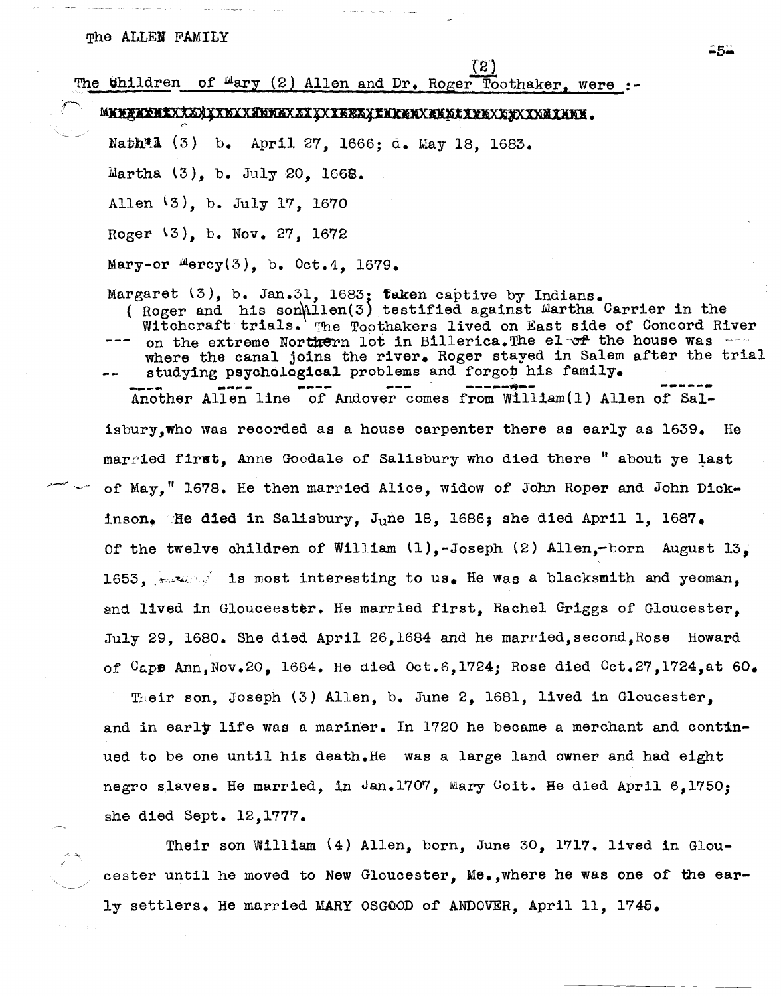$(2)$ The Ghildren of Mary (2) Allen and Dr. Roger Toothaker, were :-Nath<sup>\*</sup>l (3) b. April 27, 1666; d. May 18, 1683. Martha (3), b. July 20, 1668. Allen l3), b. July 17, 1670 Roger l3), b. Nov. 27, 1672 Mary-or  $Mercy(3)$ , b. Oct.4, 1679. Margaret  $(3)$ , b. Jan.31, 1683; faken captive by Indians. ( Roger and his son $n$ 11en(3) testified against Martha Carrier in the Witchcraft trials. The Toothakers lived on East side of Concord River on the extreme Northern lot in Billerica. The el- $\sigma$ f the house was --where the canal joins the river. Roger stayed in Salem after the trial studying psychological problems and forgot his family.

Another Allen line of Andover comes from William(1) Allen of Salisbury,who was recorded as a house carpenter there as early as 1639. He married first. Anne Goodale of Salisbury who died there " about ye last of' May," 1678. He then married Alice, widow of John Roper and John Dickinson. He died in Salisbury, June 18, 1686; she died April 1, 1687. Of the twelve children of William {l),-Joseph (2) Allen,-born August 13, 1653,  $\sim$  is most interesting to us. He was a blacksmith and yeoman, and lived in Glouceester. He married first, Rachel Griggs of Gloucester, July 29, '1680. She died April 26,1684 and he married,second,Rose Howard of  $CapB$  Ann, Nov.20, 1684. He died Oct.6, 1724; Rose died  $Oct.27, 1724, at 60.$ 

Their son, Joseph (3) Allen, b. June 2, 1681, lived in Gloucester, and in early life was a mariner. In  $1720$  he became a merchant and continued to be one until his death.He was a large land owner and had eight negro slaves. He married, in Jan.1707, Mary Goit. He died April 6,1750; she died Sept. 12,1777.

Their son William (4) Allen, born, June 30, 1717. lived in Gloucester until he moved to New Gloucester, Me.,where he was one of the early settlers. He married MARY OSGOOD of ANDOVER, April 11, 1745.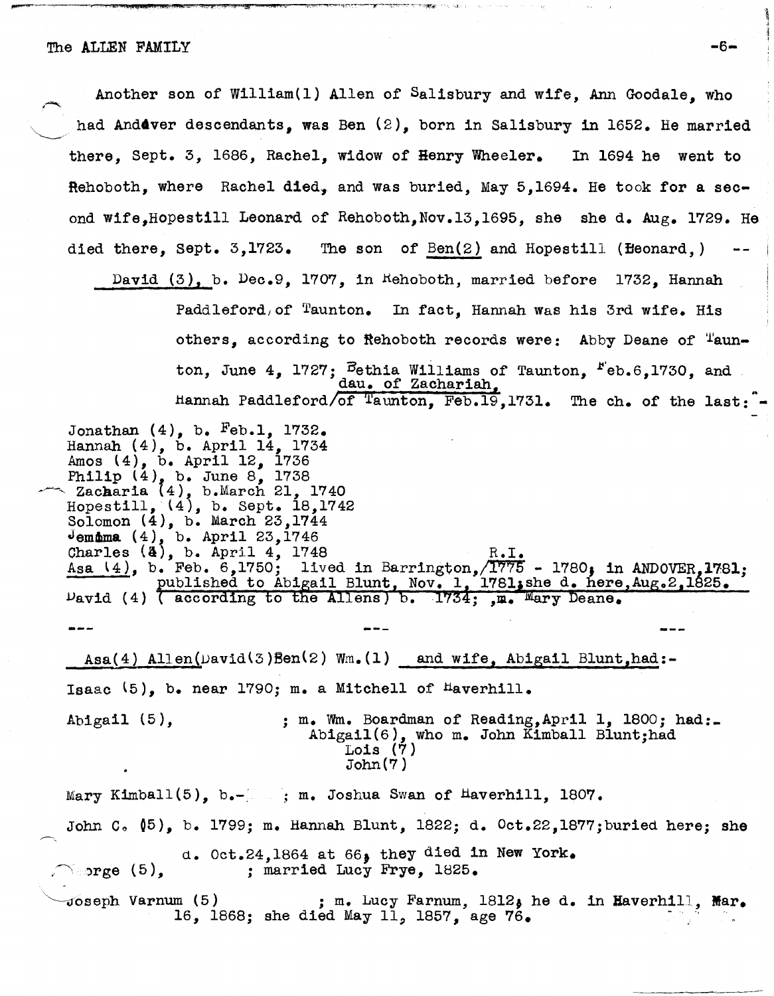Philip (4), b. June 8, 1738<br>Zacharia (4), b.March 21, 1740

 $\nu$ avid (4)  $\overline{a}$  according

Hopestill, (4), b. Sept. 18,1742 Solomon (4), b. March 23,1744 Jemama  $(4)$ , b. April 23,1746

Another son of William{l) Allen of Salisbury and wife, Ann Goodale, who had And4ver descendants, was Ben (2), born in Salisbury in 1652. He married there, Sept. 3, 1686, Rachel, widow of Henry Wheeler. In 1694 he went to Rehoboth, where Rachel died, and was buried, May  $5,1694$ . He took for a second wife,Hopestill Leonard of Rehoboth,Nov.13,1695, she she d. Aug. 1729. He died there, sept. 3,1723. The son of Ben(2) and Hopestill (Beonard,) David (3), b. Dec.9, 1707, in Hehoboth, married before 1732, Hannah Paddleford, of Taunton. In fact, Hannah was his 3rd wife. His others, according to Rehoboth records were: Abby Deane of Taunton, June 4, 1727;  $\vec{B}$ ethia Williams of Taunton,  $F$ eb.6,1730, and dau. of Zachariah, Hannah Paddleford/of Taunton, Feb.19,1731. The ch. of the last: Jonathan  $(4)$ , b. Feb.1, 1732. Hannah (4), b. April 14, 1734 Amos (4), b. April 12, 1736

Asa(4) Allen( $David(S)$ Ben(2) Wm.(1) and wife, Abigail Blunt,had:-Isaac  $(5)$ , b. near 1790; m. a Mitchell of Haverhill.

Abigail (5),  $\ldots$ , m. Wm. Boardman of Reading, April 1, 1800; had: Abigail(6), who m. John Kimball Blunt;had Lois  $(7)$ John (7 )

Charles  $(4)$ , b. April 4, 1748<br>Asa  $(4)$ , b. Feb. 6,1750; lived in Barrington,  $\sqrt{1775}$  - 1780; in ANDOVER.1781; Asa (4), b. Feb. 6,1750; lived in Barrington,  $\overline{1775}$  - 1780; in ANDOVER, 1781; published to Abigail Blunt, Nov. 1, 1781; she d. here, Aug. 2, 1825.

Mary Kimball(5), b.-...; m. Joshua Swan of Haverhill, 1807. John C.  $(5)$ , b. 1799; m. Hannah Blunt, 1822; d.  $0ct.22,1877$ ; buried here; she d. Oct.24,1864 at 66. they died in New York.  $\searrow$  orge (5). *<sup>j</sup>*married Lucy Frye, 1B25.  $\sim$ Joseph Varnum (5)  $\;$  ; m. Lucy Farnum, 1812, he d. in Haverhill, Mar. 16, 1868; she died May 11, 1857, age 76.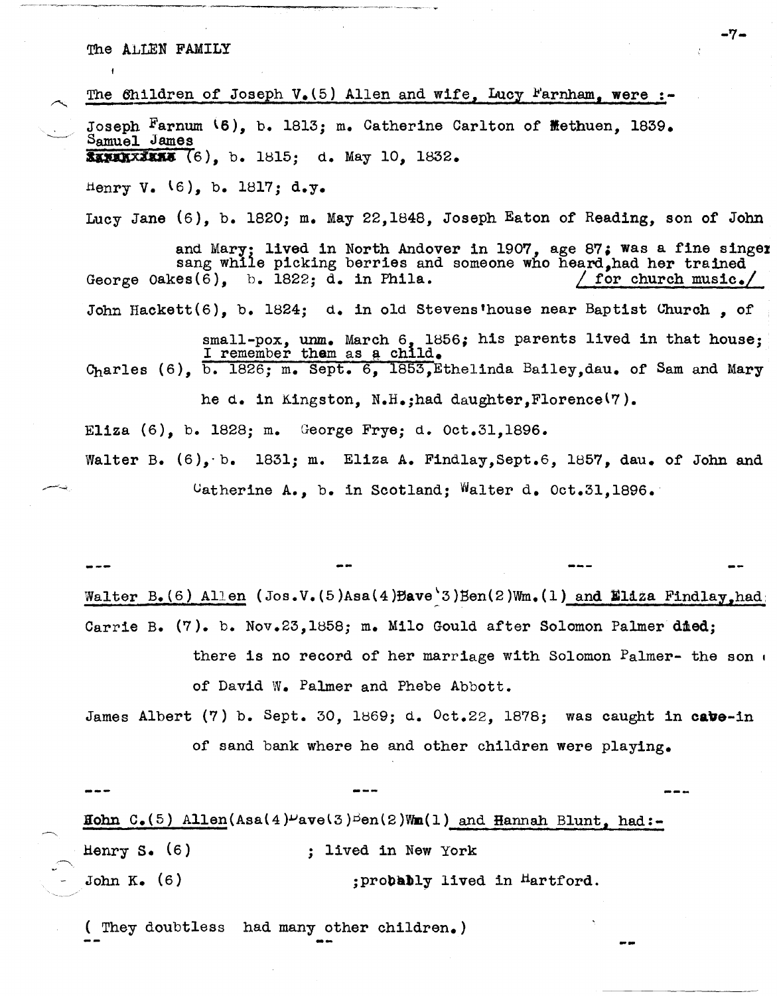## The ALLEN FAMILY

| The Children of Joseph $V_{\bullet}(5)$ Allen and wife, Lucy Farnham, were :-                                                                                                                               |
|-------------------------------------------------------------------------------------------------------------------------------------------------------------------------------------------------------------|
| Joseph Farnum (6), b. 1813; m. Catherine Carlton of Methuen, 1839.<br>Samuel James                                                                                                                          |
| SAMARIZING $(6)$ , b. 1815; d. May 10, 1832.                                                                                                                                                                |
| Henry V. $(6)$ , b. 1817; d.y.                                                                                                                                                                              |
| Lucy Jane $(6)$ , b. 1820; m. May 22,1848, Joseph Eaton of Reading, son of John                                                                                                                             |
| and Mary; lived in North Andover in 1907, age 87; was a fine singer<br>sang while picking berries and someone who heard, had her trained<br>George Oakes $(6)$ , b. 1822; d. in Phila.<br>for church music. |
| John Hackett $(6)$ , b. 1824; d. in old Stevens'house near Baptist Church. of                                                                                                                               |
| small-pox. unm. March 6. 1856; his parents lived in that house;<br>I remember them as a child.<br>Charles (6), b. 1826; m. Sept. 6, 1853, Ethelinda Bailey, dau. of Sam and Mary                            |
| he d. in Kingston, N.H.; had daughter, Florence <sup>(7</sup> ).                                                                                                                                            |
| Eliza (6), b. 1828; m. George Frye; d. Oct.31,1896.                                                                                                                                                         |
| Walter B. $(6)$ , b. 1831; m. Eliza A. Findlay, Sept. 6, 1857, dau. of John and                                                                                                                             |
| Catherine A., b. in Scotland; Walter d. Oct.31,1896.                                                                                                                                                        |
|                                                                                                                                                                                                             |
|                                                                                                                                                                                                             |
| Walter B. (6) Allen (Jos.V. (5)Asa (4) Bave '3) Ben (2) Wm. (1) and Eliza Findlay, had                                                                                                                      |
|                                                                                                                                                                                                             |
| Carrie B. (7). b. Nov.23, 1858; m. Milo Gould after Solomon Palmer died;                                                                                                                                    |

- there is no record of her marriage with Solomon Palmer- the son , of David W. Palmer and Phebe Abbott.
- James Albert (7) b. Sept. 30, 1869; d. Oct.22, 1878; was caught in cave-in of sand bank where he and other children were playing.

 $\sim$   $\overline{\phantom{a}}$ Hohn C.(5) Allen(Asa(4)  $\nu$ ave(3) $\beta$ en(2)Wm(1) and Hannah Blunt, had:-Henry S. (6) ; lived in New York John K. (6) jprobably lived in <sup>H</sup>artford.

( They doubtless had many other children.)

~

-7-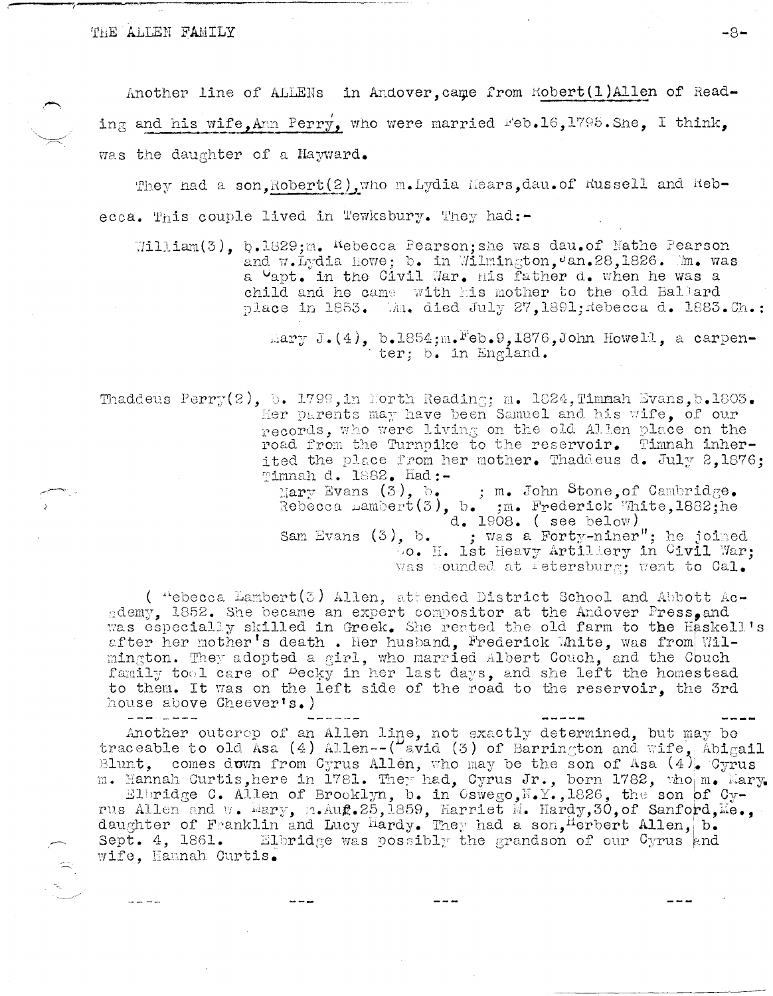## THE ALLEN FAMILY

Another line of ALLENs in Andover, came from Robert (1) Allen of Reading and his wife, Ann Perry, who were married Feb.16, 1795. She, I think, was the daughter of a Hayward.

They had a son. Robert (2) who m. Lydia Mears, dau. of Russell and Rebecca. This couple lived in Tewksbury. They had:-

 $\texttt{William}(3)$ , b.1829; m. Kebecca Pearson; she was dau.of Nathe Pearson and w.Lydia Howe: b. in Wilmington, 'an. 28, 1826. Mm. was a Vapt. in the Civil War. His father d. when he was a child and he came with his mother to the old Ballard place in 1853. Mm. died July 27, 1891; Rebecca d. 1883.Ch.:

 $\text{Im} \gamma$  J.(4), b.1854; m. Feb.9,1876, John Howell, a carpen-<br>ter; b. in England.

Thaddeus Perry(2), b. 1799, in North Reading; m. 1824, Timmah Evans, b.1803. Her parents may have been Samuel and his wife. of our records, who were living on the old Allen place on the road from the Turnpike to the reservoir. Timnah inherited the place from her mother. Thaddeus d. July 2,1876; Timnah d. 1882. Had:-

Mary Evans (3), b. ; m. John Stone, of Cambridge.<br>Rebecca Lambert(3), b. :m. Frederick White, 1882; he  $[d, 1908, (see below)]$ Sam Evans (3), b. ; was a Forty-niner"; he joined<br>... Ist Heavy Artillery in Civil War; was wounded at Fetersburg; went to Cal.

(  $\text{``ebecca Lambert(3)}$  Allen, attended District School and Abbott Academy, 1852. She became an expert compositor at the Andover Press, and was especially skilled in Greek. She rented the old farm to the Haskell's after her mother's death. Her husband, Frederick White, was from Wilmington. They adopted a girl, who married albert Couch, and the Couch family tool care of Pecky in her last days, and she left the homestead to them. It was on the left side of the road to the reservoir, the 3rd house above Cheever's.)

Another outcrop of an Allen line, not exactly determined, but may be traceable to old Asa (4) Allen--( $\frac{\mu_{\text{avid}}}{\text{width}}$  (3) of Barrington and wife, Abigail Blunt, comes down from Cyrus Allen, who may be the son of Asa  $(4)$ . Cyrus m. Hannah Curtis, here in 1781. They had, Cyrus Jr., born 1782, who m. Mary.

Elbridge C. Allen of Brooklyn, b. in Oswego, N.Y., 1826, the son of Cyrus Allen and w. Mary, m. Aug. 25, 1859, Harriet M. Hardy, 30, of Sanford, Me., daughter of Franklin and Lucy Hardy. They had a son, Herbert Allen, b. Sept. 4, 1861. Elbridge was possibly the grandson of our Cyrus and wife, Hannah Curtis.

 $-8-$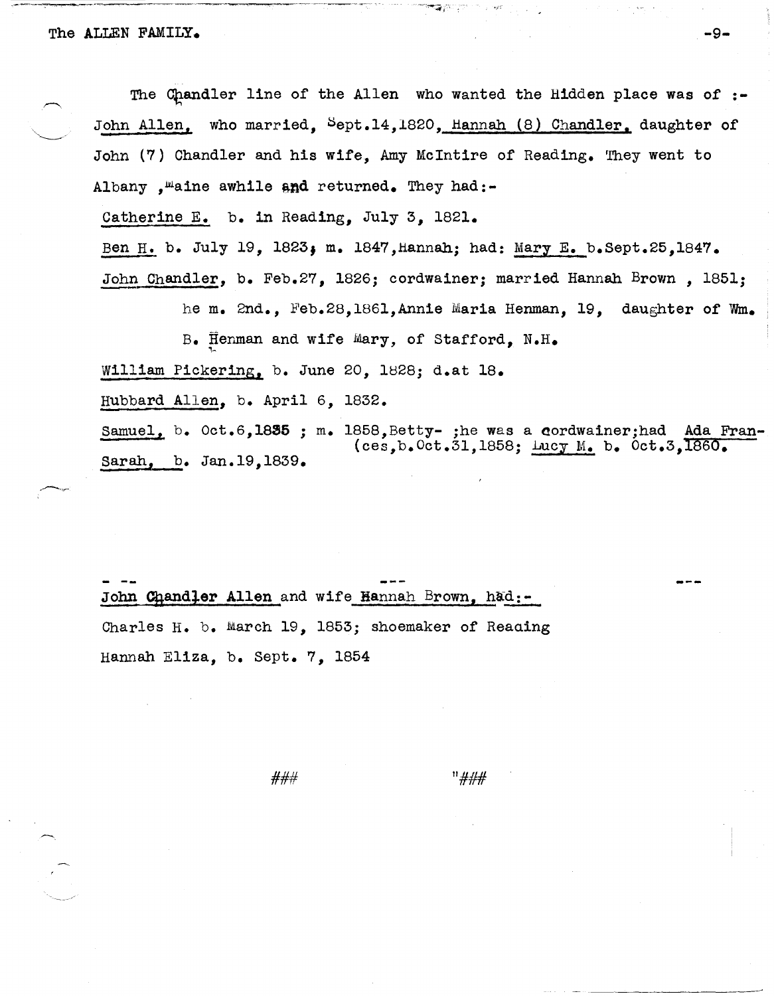The Chandler line of the Allen who wanted the Hidden place was of  $:-$ John Allen, who married, Sept.14,1820, Hannah (8) Chandler. daughter of John (7) Chandler and his wife, Amy McIntire of Reading. They went to Albany , maine awhile and returned. They had:-

Catherine E. b. in Reading, July 3, 1821.

Ben H. b. July 19, 1823; m. 1847, Hannah; had: Mary E. b.Sept.25,1847.

John Chandler, b. Feb.27, 1826; cordwainer; married Hannah Brown, 1851;

he m. 2nd., Feb.28,186l,Annie Maria Henman, 19, daughter of Wm.

B. Henman and wife Mary, of Stafford,  $N.H.$ 

William Pickering, b. June 20, 1828; d.at 18.

Hubbard Allen, b. April 6, 1832.

Samuel, b. Oct.6,1835 ; m. 1858,Betty- ;he was a cordwainer;had Ada Fran-Sarah, b. Jan.19,1839. (ces,b.Oct.31,1858; Lucy M. b. Oct.3,1860.

John Chandler Allen and wife Hannah Brown, had:-Charles H. b. March 19, 1853; shoemaker of Reaaing Hannah Eliza, b. Sept. 7, 1854

### 11###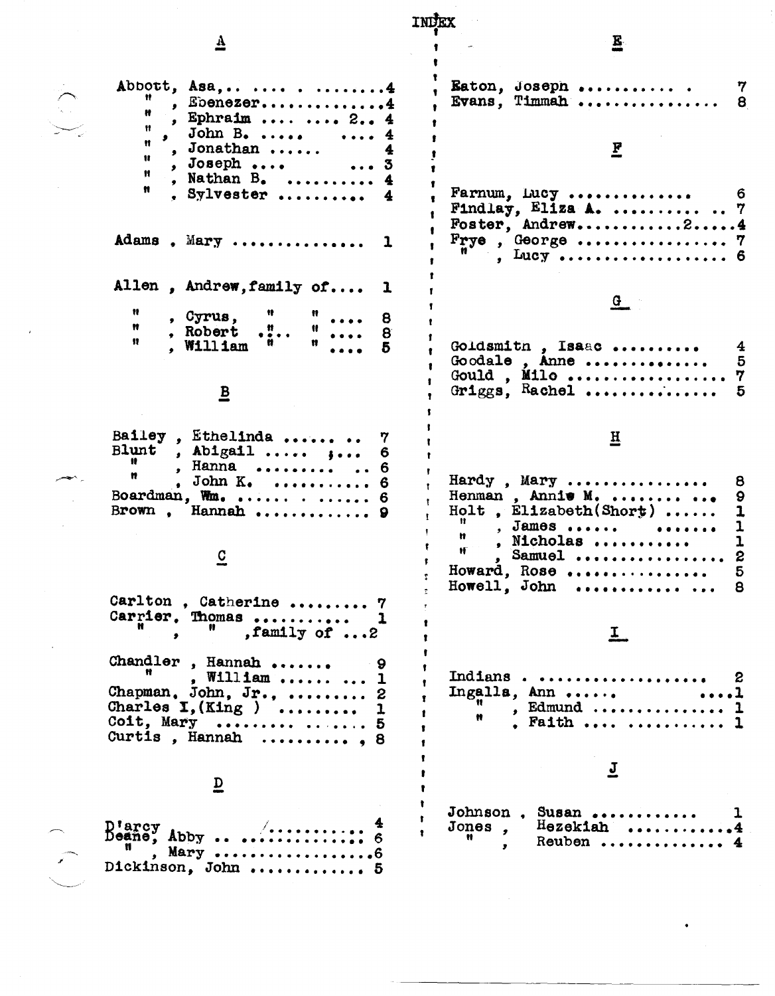| ₹                                                                                                                          | E.                                                                                               |
|----------------------------------------------------------------------------------------------------------------------------|--------------------------------------------------------------------------------------------------|
|                                                                                                                            |                                                                                                  |
| Abbott, Asa, 4<br>. Ebenezer4<br>, Ephraim   2 4                                                                           | Eaton, Joseph<br>Evans, Timmah                                                                   |
| John $B$ .<br>$\cdots$ 4<br>, Jonathan $\ldots$ .<br>Ħ<br>$, Joseph \ldots$ $ 3$<br>Ħ                                      |                                                                                                  |
| , Nathan $B_{\bullet}$<br>Ħ<br>, Sylvester                                                                                 | Farnum, Lucy<br>Findlay, Eliza A.   7<br>Foster, Andrew24                                        |
| Adams, Mary                                                                                                                | . Lucy  6                                                                                        |
| Allen, Andrew, family of                                                                                                   |                                                                                                  |
| , Cyrus,<br>Ħ<br>, Robert ."                                                                                               |                                                                                                  |
| 11.<br>, William "                                                                                                         | Goldsmith, Isaac<br>Goodale, Anne<br>5                                                           |
| $\overline{\mathbf{B}}$                                                                                                    | Griggs, Rachel                                                                                   |
| Bailey, Ethelinda<br><b>Blunt</b><br>, Abigail $, \ldots$<br>, Hanna   6<br>Ħ<br>. John $K$ .  6                           | H<br>Hardy, Mary<br>8                                                                            |
| Boardman, Wm. $\ldots$ 6<br>Brown, Hannah  9<br>C                                                                          | Henman, Annie M.<br>9<br>Holt, $E11zabeth(Short)$<br>1<br>, James<br>. Nicholas<br>1<br>, Samuel |
| Carlton, Catherine  7                                                                                                      | Howard, Rose<br>5<br>Howell, John<br>8<br>.                                                      |
| Carrier. Thomas<br>, family of $\ldots$ 2<br>$\bullet$                                                                     | $\overline{\bm{T}}$                                                                              |
| Chandler, Hannah<br>. William   1<br>Chapman, John, Jr.,  2<br>Charles $I, (King)$<br>Coit, Mary   5<br>Curtis, Hannah , 8 | Indians<br>Ingalla, Ann<br>, Edmund<br>Ħ<br>. Faith   1                                          |
| D                                                                                                                          |                                                                                                  |
| $D$ 'arc $y$<br>D'arcy<br>Deane, Abby<br>, Mary 6<br>Dickinson, John  5                                                    | Johnson, Susan,<br>$H$ ezekiah<br>Jones,<br>Ħ<br>Reuben                                          |